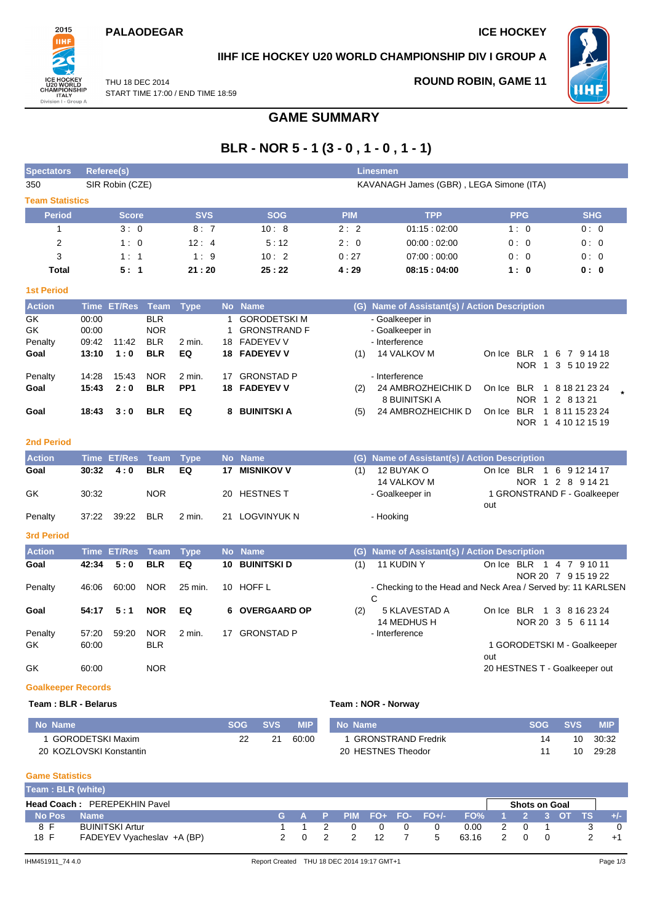#### **PALAODEGAR ICE HOCKEY**



### **IIHF ICE HOCKEY U20 WORLD CHAMPIONSHIP DIV I GROUP A**

THU 18 DEC 2014 START TIME 17:00 / END TIME 18:59 **ROUND ROBIN, GAME 11**



## **GAME SUMMARY**

# **BLR - NOR 5 - 1 (3 - 0 , 1 - 0 , 1 - 1)**

| <b>Spectators</b>         |                | Referee(s)         |                          | <b>Linesmen</b> |           |                                  |            |                                                              |                               |                                      |  |  |
|---------------------------|----------------|--------------------|--------------------------|-----------------|-----------|----------------------------------|------------|--------------------------------------------------------------|-------------------------------|--------------------------------------|--|--|
| 350                       |                | SIR Robin (CZE)    |                          |                 |           |                                  |            | KAVANAGH James (GBR), LEGA Simone (ITA)                      |                               |                                      |  |  |
| <b>Team Statistics</b>    |                |                    |                          |                 |           |                                  |            |                                                              |                               |                                      |  |  |
| <b>Period</b>             |                | <b>Score</b>       |                          | <b>SVS</b>      |           | <b>SOG</b>                       | <b>PIM</b> | <b>TPP</b>                                                   | <b>PPG</b>                    | <b>SHG</b>                           |  |  |
| $\mathbf{1}$              |                | 3:0                |                          | 8:7             |           | 10:8                             | 2:2        | 01:15:02:00                                                  | 1:0                           | 0:0                                  |  |  |
| 2                         |                | 1:0                |                          | 12:4            |           | 5:12                             | 2:0        | 00:00:02:00                                                  | 0:0                           | 0:0                                  |  |  |
| 3                         |                | 1:1                |                          | 1:9             |           | 10:2                             | 0:27       | 07:00:00:00                                                  | 0:0                           | 0:0                                  |  |  |
| <b>Total</b>              |                | 5:1                |                          | 21:20           |           | 25:22                            | 4:29       | 08:15:04:00                                                  | 1:0                           | 0:0                                  |  |  |
| <b>1st Period</b>         |                |                    |                          |                 |           |                                  |            |                                                              |                               |                                      |  |  |
| <b>Action</b>             | <b>Time</b>    | <b>ET/Res</b>      | Team                     | <b>Type</b>     |           | No Name                          |            | (G) Name of Assistant(s) / Action Description                |                               |                                      |  |  |
| GK                        | 00:00          |                    | <b>BLR</b>               |                 | 1         | <b>GORODETSKIM</b>               |            | - Goalkeeper in                                              |                               |                                      |  |  |
| GK                        | 00:00          |                    | <b>NOR</b>               |                 | 1         | <b>GRONSTRAND F</b>              |            | - Goalkeeper in                                              |                               |                                      |  |  |
| Penalty<br>Goal           | 09:42<br>13:10 | 11:42<br>1:0       | <b>BLR</b><br><b>BLR</b> | 2 min.<br>EQ    | 18        | <b>FADEYEV V</b><br>18 FADEYEV V | (1)        | - Interference<br>14 VALKOV M                                | On Ice BLR                    | 1 6 7 9 14 18                        |  |  |
|                           |                |                    |                          |                 |           |                                  |            |                                                              |                               | NOR 1 3 5 10 19 22                   |  |  |
| Penalty                   | 14:28          | 15:43              | <b>NOR</b>               | 2 min.          | 17        | <b>GRONSTAD P</b>                |            | - Interference                                               |                               |                                      |  |  |
| Goal                      | 15:43          | 2:0                | <b>BLR</b>               | PP <sub>1</sub> |           | <b>18 FADEYEV V</b>              | (2)        | 24 AMBROZHEICHIK D<br>8 BUINITSKI A                          | On Ice BLR                    | 1 8 18 21 23 24<br>NOR 1 2 8 13 21   |  |  |
| Goal                      | 18:43          | 3:0                | <b>BLR</b>               | EQ              | 8         | <b>BUINITSKI A</b>               | (5)        | 24 AMBROZHEICHIK D                                           | On Ice BLR                    | 1 8 11 15 23 24                      |  |  |
|                           |                |                    |                          |                 |           |                                  |            |                                                              |                               | NOR 1 4 10 12 15 19                  |  |  |
| <b>2nd Period</b>         |                |                    |                          |                 |           |                                  |            |                                                              |                               |                                      |  |  |
| <b>Action</b>             | <b>Time</b>    | <b>ET/Res</b>      | <b>Team</b>              | <b>Type</b>     | <b>No</b> | <b>Name</b>                      |            | (G) Name of Assistant(s) / Action Description                |                               |                                      |  |  |
| Goal                      | 30:32          | 4:0                | <b>BLR</b>               | EQ              | 17        | <b>MISNIKOV V</b>                | (1)        | 12 BUYAK O                                                   | On Ice BLR                    | 1 6 9 12 14 17                       |  |  |
|                           |                |                    |                          |                 |           |                                  |            | 14 VALKOV M                                                  |                               | NOR 1 2 8 9 14 21                    |  |  |
| GK                        | 30.32          |                    | <b>NOR</b>               |                 | 20        | <b>HESTNES T</b>                 |            | - Goalkeeper in                                              |                               | 1 GRONSTRAND F - Goalkeeper          |  |  |
| Penalty                   | 37:22          | 39:22              | <b>BLR</b>               | 2 min.          | 21        | <b>LOGVINYUK N</b>               |            | - Hooking                                                    | out                           |                                      |  |  |
|                           |                |                    |                          |                 |           |                                  |            |                                                              |                               |                                      |  |  |
| <b>3rd Period</b>         |                |                    |                          |                 |           |                                  |            |                                                              |                               |                                      |  |  |
| <b>Action</b>             |                | <b>Time ET/Res</b> | <b>Team</b>              | <b>Type</b>     |           | No Name                          |            | (G) Name of Assistant(s) / Action Description                |                               |                                      |  |  |
| Goal                      | 42:34          | 5:0                | <b>BLR</b>               | EQ              | 10        | <b>BUINITSKI D</b>               | (1)        | 11 KUDIN Y                                                   | On Ice BLR 1 4 7 9 10 11      |                                      |  |  |
| Penalty                   | 46:06          | 60:00              | <b>NOR</b>               | 25 min.         |           | 10 HOFF L                        |            | - Checking to the Head and Neck Area / Served by: 11 KARLSEN |                               | NOR 20 7 9 15 19 22                  |  |  |
|                           |                |                    |                          |                 |           |                                  |            | C                                                            |                               |                                      |  |  |
| Goal                      | 54:17          | 5:1                | <b>NOR</b>               | EQ              | 6         | <b>OVERGAARD OP</b>              | (2)        | 5 KLAVESTAD A<br>14 MEDHUS H                                 | On Ice BLR                    | 1 3 8 16 23 24<br>NOR 20 3 5 6 11 14 |  |  |
| Penalty                   | 57:20          | 59:20              | <b>NOR</b>               | $2$ min.        |           | 17 GRONSTAD P                    |            | - Interference                                               |                               |                                      |  |  |
| GK                        | 60:00          |                    | <b>BLR</b>               |                 |           |                                  |            |                                                              |                               | 1 GORODETSKI M - Goalkeeper          |  |  |
| GK                        | 60:00          |                    | <b>NOR</b>               |                 |           |                                  |            |                                                              | out                           |                                      |  |  |
|                           |                |                    |                          |                 |           |                                  |            |                                                              | 20 HESTNES T - Goalkeeper out |                                      |  |  |
| <b>Goalkeeper Records</b> |                |                    |                          |                 |           |                                  |            |                                                              |                               |                                      |  |  |

#### **Team : BLR - Belarus Team : NOR - Norway**

| Mo Name                 | SOG | <b>SVS</b> | MIP.  | No Name                   | <b>SOG</b> | <b>SVS</b> | <b>MIP</b> |
|-------------------------|-----|------------|-------|---------------------------|------------|------------|------------|
| GORODETSKI Maxim        |     |            | 60:00 | <b>GRONSTRAND Fredrik</b> |            | 10         | 30:32      |
| 20 KOZLOVSKI Konstantin |     |            |       | 20 HESTNES Theodor        |            | 10         | 29:28      |

**Game Statistics**

| Team: BLR (white) |                                     |    |  |                 |                           |                 |                      |  |       |
|-------------------|-------------------------------------|----|--|-----------------|---------------------------|-----------------|----------------------|--|-------|
|                   | <b>Head Coach: PEREPEKHIN Pavel</b> |    |  |                 |                           |                 | <b>Shots on Goal</b> |  |       |
| No Pos            | <b>Name</b>                         |    |  |                 | G A P PIM FO+ FO- FO+/- ' | FO% 1 2 3 OT TS |                      |  | $+/-$ |
| 8 F               | <b>BUINITSKI Artur</b>              |    |  | $\Omega$        |                           | 0.00            |                      |  |       |
| 18 F              | FADEYEV Vyacheslav +A (BP)          | 20 |  | 12 <sub>1</sub> | 5                         | 63.16           |                      |  | $+1$  |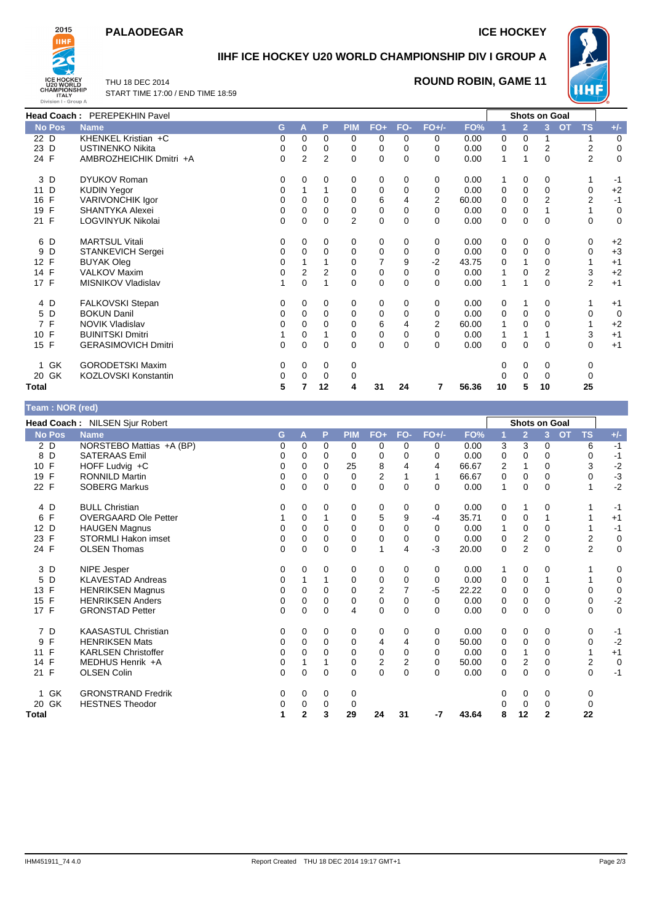#### **PALAODEGAR ICE HOCKEY**



# **IIHF ICE HOCKEY U20 WORLD CHAMPIONSHIP DIV I GROUP A**

THU 18 DEC 2014 START TIME 17:00 / END TIME 18:59

### **ROUND ROBIN, GAME 11**



| <b>Head Coach: PEREPEKHIN Pavel</b> |                            |             |   |                |                |             |              |          | <b>Shots on Goal</b> |              |                |             |                        |       |
|-------------------------------------|----------------------------|-------------|---|----------------|----------------|-------------|--------------|----------|----------------------|--------------|----------------|-------------|------------------------|-------|
| <b>No Pos</b>                       | <b>Name</b>                | G           | A | P              | <b>PIM</b>     | $FO+$       | FO-          | $FO+/-$  | FO%                  |              | $\overline{2}$ | 3           | <b>OT</b><br><b>TS</b> | $+/-$ |
| 22 D                                | KHENKEL Kristian +C        | 0           | 0 | $\mathbf 0$    | 0              | 0           | 0            | 0        | 0.00                 | 0            | 0              |             |                        | 0     |
| 23 D                                | <b>USTINENKO Nikita</b>    | 0           | 0 | 0              | 0              | 0           | 0            | 0        | 0.00                 | 0            | 0              | 2           | 2                      | 0     |
| 24 F                                | AMBROZHEICHIK Dmitri +A    | $\mathbf 0$ | 2 | $\overline{2}$ | $\Omega$       | $\mathbf 0$ | $\mathbf{0}$ | 0        | 0.00                 | 1            |                | $\Omega$    | $\overline{2}$         | 0     |
| 3 D                                 | <b>DYUKOV Roman</b>        | 0           | 0 | 0              | 0              | 0           | 0            | 0        | 0.00                 |              | 0              | 0           |                        | $-1$  |
| D<br>11                             | <b>KUDIN Yegor</b>         | 0           |   |                | 0              | 0           | 0            | 0        | 0.00                 | 0            | 0              | $\Omega$    | 0                      | $+2$  |
| 16 F                                | VARIVONCHIK Igor           | 0           | 0 | 0              | 0              | 6           | 4            | 2        | 60.00                | 0            | 0              | 2           | 2                      | $-1$  |
| $\mathsf{F}$<br>19                  | SHANTYKA Alexei            | 0           | 0 | 0              | 0              | 0           | 0            | 0        | 0.00                 | 0            | 0              |             |                        | 0     |
| 21 F                                | LOGVINYUK Nikolai          | $\Omega$    | 0 | $\Omega$       | $\overline{2}$ | $\mathbf 0$ | 0            | 0        | 0.00                 | 0            | 0              | $\Omega$    | $\Omega$               | 0     |
| 6 D                                 | <b>MARTSUL Vitali</b>      | 0           | 0 | 0              | 0              | 0           | 0            | 0        | 0.00                 | 0            | 0              | 0           | 0                      | $+2$  |
| 9<br>D                              | STANKEVICH Sergei          | $\Omega$    | 0 | 0              | 0              | 0           | 0            | 0        | 0.00                 | 0            | 0              | 0           | 0                      | $+3$  |
| 12 F                                | <b>BUYAK Oleg</b>          | 0           |   |                | 0              | 7           | 9            | -2       | 43.75                | 0            |                | 0           |                        | $+1$  |
| 14 F                                | <b>VALKOV Maxim</b>        | 0           | 2 | 2              | 0              | 0           | 0            | 0        | 0.00                 | $\mathbf{1}$ | 0              | 2           | 3                      | $+2$  |
| 17 F                                | MISNIKOV Vladislav         |             | 0 | 1              | 0              | $\mathbf 0$ | $\mathbf 0$  | 0        | 0.00                 | 1            |                | $\mathbf 0$ | $\overline{2}$         | $+1$  |
| 4 D                                 | <b>FALKOVSKI Stepan</b>    | 0           | 0 | 0              | 0              | 0           | 0            | 0        | 0.00                 | 0            |                | 0           |                        | $+1$  |
| 5 D                                 | <b>BOKUN Danil</b>         | 0           | 0 | 0              | 0              | 0           | 0            | 0        | 0.00                 | 0            | 0              | $\Omega$    | 0                      | 0     |
| 7 F                                 | <b>NOVIK Vladislav</b>     | 0           |   |                | 0              | 6           | 4            | 2        | 60.00                |              | 0              | 0           |                        | $+2$  |
| 10 F                                | <b>BUINITSKI Dmitri</b>    |             | 0 |                | 0              | 0           | 0            | 0        | 0.00                 | -1           |                |             | 3                      | $+1$  |
| 15 F                                | <b>GERASIMOVICH Dmitri</b> | $\Omega$    | 0 | $\Omega$       | 0              | $\mathbf 0$ | 0            | $\Omega$ | 0.00                 | 0            | 0              | $\Omega$    | $\Omega$               | $+1$  |
| 1 GK                                | <b>GORODETSKI Maxim</b>    | 0           | 0 | 0              | 0              |             |              |          |                      | 0            | 0              | 0           | 0                      |       |
| 20 GK                               | KOZLOVSKI Konstantin       | 0           | 0 | 0              | 0              |             |              |          |                      |              | 0              | 0           | 0                      |       |
| Total                               |                            | 5           |   | 12             | 4              | 31          | 24           |          | 56.36                | 10           | 5              | 10          | 25                     |       |

| Team: NOR (red)    |                                |             |              |             |            |       |     |          |       |   |                      |              |           |                |             |
|--------------------|--------------------------------|-------------|--------------|-------------|------------|-------|-----|----------|-------|---|----------------------|--------------|-----------|----------------|-------------|
|                    | Head Coach: NILSEN Sjur Robert |             |              |             |            |       |     |          |       |   | <b>Shots on Goal</b> |              |           |                |             |
| <b>No Pos</b>      | <b>Name</b>                    | G           | A            | P           | <b>PIM</b> | $FO+$ | FO- | $FO+/-$  | FO%   |   | $\overline{2}$       | 3            | <b>OT</b> | <b>TS</b>      | $+/-$       |
| $2$ D              | NORSTEBO Mattias +A (BP)       | 0           | 0            | 0           | 0          | 0     | 0   | 0        | 0.00  | 3 | 3                    | 0            |           | 6              | $-1$        |
| D<br>8             | <b>SATERAAS Emil</b>           | 0           | 0            | 0           | 0          | 0     | 0   | $\Omega$ | 0.00  | 0 | 0                    | 0            |           | 0              | $-1$        |
| F<br>10            | HOFF Ludvig +C                 | 0           | 0            | 0           | 25         | 8     |     | 4        | 66.67 | 2 | 1                    | 0            |           | 3              | $-2$        |
| F<br>19            | <b>RONNILD Martin</b>          | 0           | 0            | 0           | 0          | 2     |     | 1        | 66.67 | 0 | 0                    | 0            |           | 0              | $-3$        |
| 22 F               | <b>SOBERG Markus</b>           | 0           | 0            | 0           | 0          | 0     | 0   | 0        | 0.00  | 1 | 0                    | 0            |           |                | $-2$        |
| 4 D                | <b>BULL Christian</b>          | 0           | 0            | 0           | 0          | 0     | 0   | 0        | 0.00  | 0 | 1                    | 0            |           |                | -1          |
| $\mathsf{F}$<br>6  | <b>OVERGAARD Ole Petter</b>    |             | 0            |             | 0          | 5     | 9   | $-4$     | 35.71 | 0 | $\mathbf 0$          |              |           |                | $+1$        |
| 12 D               | <b>HAUGEN Magnus</b>           | 0           | $\Omega$     | $\Omega$    | $\Omega$   | 0     | 0   | $\Omega$ | 0.00  |   | 0                    | $\Omega$     |           |                | $-1$        |
| F<br>23            | <b>STORMLI Hakon imset</b>     | 0           | 0            | 0           | 0          | 0     | 0   | 0        | 0.00  | 0 | $\overline{2}$       | $\mathbf 0$  |           | $\overline{2}$ | $\mathbf 0$ |
| 24 F               | <b>OLSEN Thomas</b>            | $\Omega$    | 0            | $\Omega$    | 0          | 1     | 4   | $-3$     | 20.00 | 0 | $\overline{2}$       | 0            |           | $\overline{2}$ | $\mathbf 0$ |
| 3 D                | NIPE Jesper                    | 0           | 0            | 0           | 0          | 0     | 0   | 0        | 0.00  | 1 | 0                    | 0            |           |                | 0           |
| D<br>5             | <b>KLAVESTAD Andreas</b>       | 0           | 1            |             | 0          | 0     | 0   | 0        | 0.00  | 0 | 0                    |              |           |                | $\mathbf 0$ |
| F<br>13            | <b>HENRIKSEN Magnus</b>        | 0           | 0            | 0           | 0          | 2     | 7   | $-5$     | 22.22 | 0 | 0                    | $\mathbf 0$  |           | 0              | 0           |
| $\mathsf{F}$<br>15 | <b>HENRIKSEN Anders</b>        | $\mathbf 0$ | $\Omega$     | 0           | 0          | 0     | 0   | $\Omega$ | 0.00  | 0 | $\mathbf 0$          | 0            |           | 0              | $-2$        |
| 17 F               | <b>GRONSTAD Petter</b>         | 0           | $\Omega$     | 0           | 4          | 0     | 0   | $\Omega$ | 0.00  | 0 | 0                    | 0            |           | 0              | $\mathbf 0$ |
| 7 D                | <b>KAASASTUL Christian</b>     | 0           | 0            | 0           | 0          | 0     | 0   | 0        | 0.00  | 0 | 0                    | 0            |           | 0              | $-1$        |
| F<br>9             | <b>HENRIKSEN Mats</b>          | 0           | 0            | 0           | 0          | 4     | 4   | $\Omega$ | 50.00 | 0 | 0                    | 0            |           | 0              | $-2$        |
| F<br>11            | <b>KARLSEN Christoffer</b>     | 0           | 0            | 0           | 0          | 0     | 0   | 0        | 0.00  | 0 | 1                    | 0            |           |                | $+1$        |
| F<br>14            | MEDHUS Henrik +A               | 0           |              |             | 0          | 2     | 2   | $\Omega$ | 50.00 | 0 | 2                    | $\Omega$     |           | 2              | $\mathbf 0$ |
| 21 F               | <b>OLSEN Colin</b>             | 0           | 0            | $\mathbf 0$ | 0          | 0     | 0   | 0        | 0.00  | 0 | $\mathbf 0$          | 0            |           | 0              | $-1$        |
| 1 GK               | <b>GRONSTRAND Fredrik</b>      | 0           | 0            | 0           | 0          |       |     |          |       | 0 | 0                    | 0            |           | 0              |             |
| 20 GK              | <b>HESTNES Theodor</b>         | 0           | 0            | 0           | 0          |       |     |          |       | U | 0                    | 0            |           | 0              |             |
| <b>Total</b>       |                                | 1           | $\mathbf{2}$ | 3           | 29         | 24    | 31  | -7       | 43.64 | 8 | 12                   | $\mathbf{2}$ |           | 22             |             |